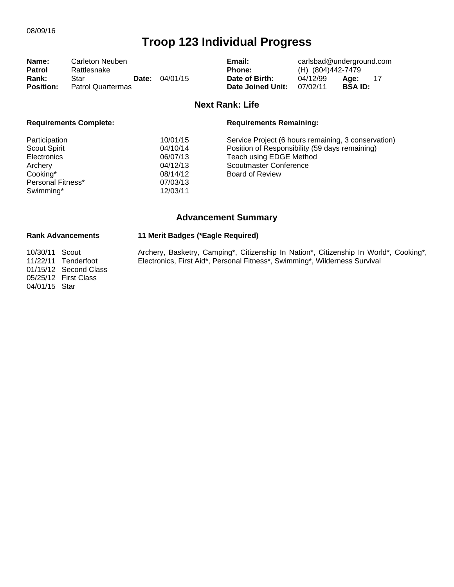| Name:            | Carleton Neuben   |       | Email:   | carlsbad@underground.com |                   |               |     |
|------------------|-------------------|-------|----------|--------------------------|-------------------|---------------|-----|
| <b>Patrol</b>    | Rattlesnake       |       |          | <b>Phone:</b>            | (H) (804)442-7479 |               |     |
| <b>Rank:</b>     | Star              | Date: | 04/01/15 | Date of Birth:           | 04/12/99          | Age:          | -17 |
| <b>Position:</b> | Patrol Quartermas |       |          | Date Joined Unit:        | 07/02/11          | <b>BSAID:</b> |     |

### **Next Rank: Life**

| <b>Requirements Complete:</b> |          | <b>Requirements Remaining:</b>                      |
|-------------------------------|----------|-----------------------------------------------------|
| Participation                 | 10/01/15 | Service Project (6 hours remaining, 3 conservation) |
| <b>Scout Spirit</b>           | 04/10/14 | Position of Responsibility (59 days remaining)      |
| <b>Electronics</b>            | 06/07/13 | Teach using EDGE Method                             |
| Archery                       | 04/12/13 | Scoutmaster Conference                              |
| Cooking*                      | 08/14/12 | Board of Review                                     |
| Personal Fitness*             | 07/03/13 |                                                     |
| Swimming*                     | 12/03/11 |                                                     |
|                               |          |                                                     |

# **Advancement Summary**

## **Rank Advancements 11 Merit Badges (\*Eagle Required)**

Archery, Basketry, Camping\*, Citizenship In Nation\*, Citizenship In World\*, Cooking\*, Electronics, First Aid\*, Personal Fitness\*, Swimming\*, Wilderness Survival

10/30/11 Scout 11/22/11 Tenderfoot 01/15/12 Second Class 05/25/12 First Class 04/01/15 Star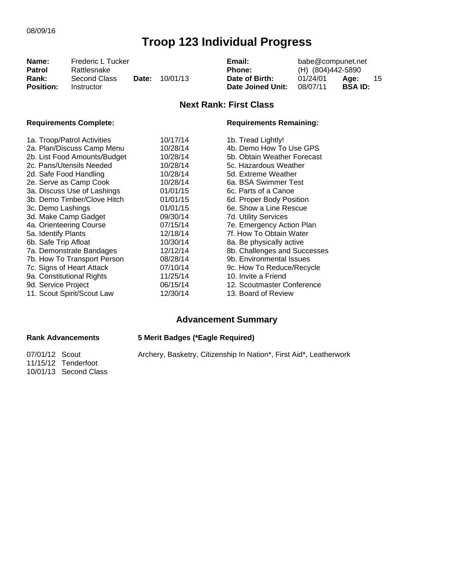| Name:<br>Frederic L Tucker<br>Patrol<br>Rattlesnake |                            |       |          | Email:<br><b>Phone:</b>             | babe@compunet.net<br>(H) (804)442-5890 |                        |    |
|-----------------------------------------------------|----------------------------|-------|----------|-------------------------------------|----------------------------------------|------------------------|----|
| Rank:<br><b>Position:</b>                           | Second Class<br>Instructor | Date: | 10/01/13 | Date of Birth:<br>Date Joined Unit: | 01/24/01<br>08/07/11                   | Age:<br><b>BSA ID:</b> | 15 |
|                                                     |                            |       |          | <b>Next Rank: First Class</b>       |                                        |                        |    |

10/01/13 Second Class

## Requirements Complete: **Requirements Remaining:**

| 1a. Troop/Patrol Activities  | 10/17/14 | 1b. Tread Lightly!           |
|------------------------------|----------|------------------------------|
| 2a. Plan/Discuss Camp Menu   | 10/28/14 | 4b. Demo How To Use GPS      |
| 2b. List Food Amounts/Budget | 10/28/14 | 5b. Obtain Weather Forecast  |
| 2c. Pans/Utensils Needed     | 10/28/14 | 5c. Hazardous Weather        |
| 2d. Safe Food Handling       | 10/28/14 | 5d. Extreme Weather          |
| 2e. Serve as Camp Cook       | 10/28/14 | 6a. BSA Swimmer Test         |
| 3a. Discuss Use of Lashings  | 01/01/15 | 6c. Parts of a Canoe         |
| 3b. Demo Timber/Clove Hitch  | 01/01/15 | 6d. Proper Body Position     |
| 3c. Demo Lashings            | 01/01/15 | 6e. Show a Line Rescue       |
| 3d. Make Camp Gadget         | 09/30/14 | 7d. Utility Services         |
| 4a. Orienteering Course      | 07/15/14 | 7e. Emergency Action Plan    |
| 5a. Identify Plants          | 12/18/14 | 7f. How To Obtain Water      |
| 6b. Safe Trip Afloat         | 10/30/14 | 8a. Be physically active     |
| 7a. Demonstrate Bandages     | 12/12/14 | 8b. Challenges and Successes |
| 7b. How To Transport Person  | 08/28/14 | 9b. Environmental Issues     |
| 7c. Signs of Heart Attack    | 07/10/14 | 9c. How To Reduce/Recycle    |
| 9a. Constitutional Rights    | 11/25/14 | 10. Invite a Friend          |
| 9d. Service Project          | 06/15/14 | 12. Scoutmaster Conference   |
| 11. Scout Spirit/Scout Law   | 12/30/14 | 13. Board of Review          |

# **Advancement Summary**

| <b>Rank Advancements</b>              | 5 Merit Badges (*Eagle Required)                                   |  |  |  |  |
|---------------------------------------|--------------------------------------------------------------------|--|--|--|--|
| 07/01/12 Scout<br>11/15/12 Tenderfoot | Archery, Basketry, Citizenship In Nation*, First Aid*, Leatherwork |  |  |  |  |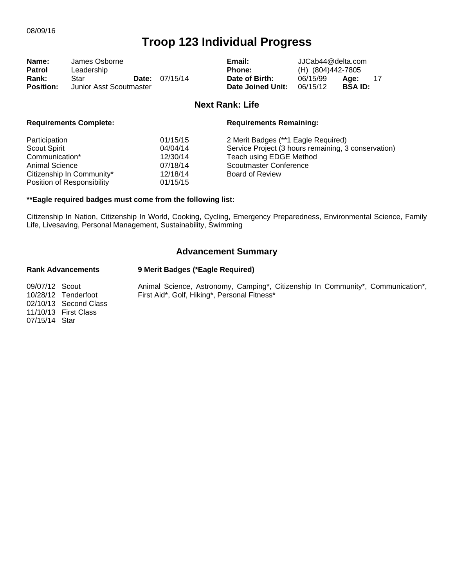| Name:            | James Osborne           |  | Email:                |                   | JJCab44@delta.com |                |  |
|------------------|-------------------------|--|-----------------------|-------------------|-------------------|----------------|--|
| <b>Patrol</b>    | Leadership              |  |                       | <b>Phone:</b>     | (H) (804)442-7805 |                |  |
| Rank:            | Star                    |  | <b>Date:</b> 07/15/14 | Date of Birth:    | 06/15/99          | Age:           |  |
| <b>Position:</b> | Junior Asst Scoutmaster |  |                       | Date Joined Unit: | 06/15/12          | <b>BSA ID:</b> |  |

#### **Next Rank: Life**

| <b>Requirements Complete:</b> |          | <b>Requirements Remaining:</b>                      |  |  |
|-------------------------------|----------|-----------------------------------------------------|--|--|
| Participation                 | 01/15/15 | 2 Merit Badges (**1 Eagle Required)                 |  |  |
| <b>Scout Spirit</b>           | 04/04/14 | Service Project (3 hours remaining, 3 conservation) |  |  |
| Communication*                | 12/30/14 | Teach using EDGE Method                             |  |  |
| <b>Animal Science</b>         | 07/18/14 | Scoutmaster Conference                              |  |  |
| Citizenship In Community*     | 12/18/14 | <b>Board of Review</b>                              |  |  |
| Position of Responsibility    | 01/15/15 |                                                     |  |  |

#### **\*\*Eagle required badges must come from the following list:**

Citizenship In Nation, Citizenship In World, Cooking, Cycling, Emergency Preparedness, Environmental Science, Family Life, Livesaving, Personal Management, Sustainability, Swimming

## **Advancement Summary**

#### **Rank Advancements 9 Merit Badges (\*Eagle Required)**

09/07/12 Scout 10/28/12 Tenderfoot 02/10/13 Second Class 11/10/13 First Class 07/15/14 Star

Animal Science, Astronomy, Camping\*, Citizenship In Community\*, Communication\*, First Aid\*, Golf, Hiking\*, Personal Fitness\*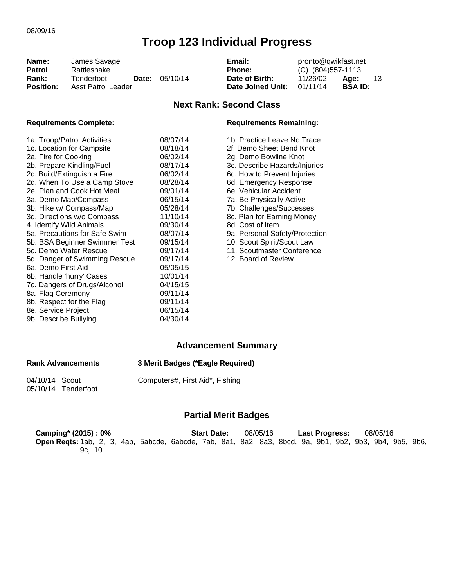| Name:            | James Savage       |  | pronto@qwikfast.net<br>Email: |                   |                     |                |    |
|------------------|--------------------|--|-------------------------------|-------------------|---------------------|----------------|----|
| <b>Patrol</b>    | Rattlesnake        |  |                               | Phone:            | $(C)$ (804)557-1113 |                |    |
| Rank:            | Tenderfoot         |  | <b>Date:</b> $05/10/14$       | Date of Birth:    | 11/26/02            | Age:           | 13 |
| <b>Position:</b> | Asst Patrol Leader |  |                               | Date Joined Unit: | 01/11/14            | <b>BSA ID:</b> |    |

## **Next Rank: Second Class**

#### **Requirements Complete: Requirements Remaining:**

| 1a. Troop/Patrol Activities<br>1c. Location for Campsite<br>2a. Fire for Cooking<br>2b. Prepare Kindling/Fuel<br>2c. Build/Extinguish a Fire<br>2d. When To Use a Camp Stove<br>2e. Plan and Cook Hot Meal<br>3a. Demo Map/Compass<br>3b. Hike w/ Compass/Map<br>3d. Directions w/o Compass<br>4. Identify Wild Animals | 08/07/14<br>08/18/14<br>06/02/14<br>08/17/14<br>06/02/14<br>08/28/14<br>09/01/14<br>06/15/14<br>05/28/14<br>11/10/14<br>09/30/14 |  |
|-------------------------------------------------------------------------------------------------------------------------------------------------------------------------------------------------------------------------------------------------------------------------------------------------------------------------|----------------------------------------------------------------------------------------------------------------------------------|--|
| 5a. Precautions for Safe Swim<br>5b. BSA Beginner Swimmer Test                                                                                                                                                                                                                                                          | 08/07/14<br>09/15/14                                                                                                             |  |
| 5c. Demo Water Rescue<br>5d. Danger of Swimming Rescue                                                                                                                                                                                                                                                                  | 09/17/14<br>09/17/14                                                                                                             |  |
| 6a. Demo First Aid<br>6b. Handle 'hurry' Cases                                                                                                                                                                                                                                                                          | 05/05/15<br>10/01/14                                                                                                             |  |
| 7c. Dangers of Drugs/Alcohol<br>8a. Flag Ceremony                                                                                                                                                                                                                                                                       | 04/15/15<br>09/11/14                                                                                                             |  |
| 8b. Respect for the Flag<br>8e. Service Project                                                                                                                                                                                                                                                                         | 09/11/14<br>06/15/14                                                                                                             |  |
| 9b. Describe Bullying                                                                                                                                                                                                                                                                                                   | 04/30/14                                                                                                                         |  |

1b. Practice Leave No Trace 2f. Demo Sheet Bend Knot 2g. Demo Bowline Knot 3c. Describe Hazards/Injuries 6c. How to Prevent Injuries 6d. Emergency Response 6e. Vehicular Accident 7a. Be Physically Active 7b. Challenges/Successes 8c. Plan for Earning Money 8d. Cost of Item 9a. Personal Safety/Protection 10. Scout Spirit/Scout Law 11. Scoutmaster Conference 12. Board of Review

## **Advancement Summary**

## **Rank Advancements 3 Merit Badges (\*Eagle Required)**

04/10/14 Scout 05/10/14 Tenderfoot Computers#, First Aid\*, Fishing

### **Partial Merit Badges**

| Camping* (2015): 0%                                                                                     | <b>Start Date:</b> | 08/05/16 | Last Progress: | 08/05/16 |
|---------------------------------------------------------------------------------------------------------|--------------------|----------|----------------|----------|
| Open Regts: 1ab, 2, 3, 4ab, 5abcde, 6abcde, 7ab, 8a1, 8a2, 8a3, 8bcd, 9a, 9b1, 9b2, 9b3, 9b4, 9b5, 9b6, |                    |          |                |          |
| 9c. 10                                                                                                  |                    |          |                |          |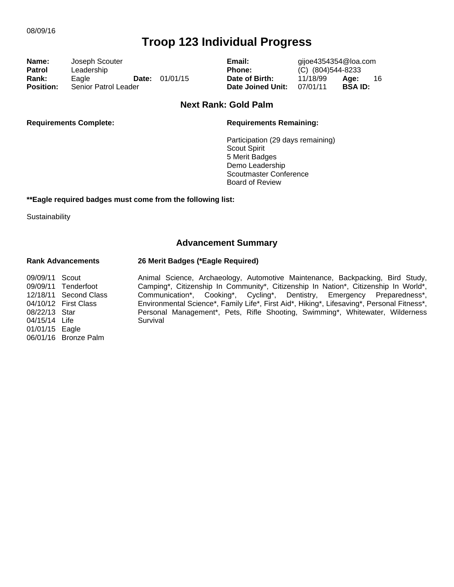| Name:            | Joseph Scouter              |                         |
|------------------|-----------------------------|-------------------------|
| <b>Patrol</b>    | Leadership                  |                         |
| Rank:            | Eagle                       | <b>Date:</b> $01/01/15$ |
| <b>Position:</b> | <b>Senior Patrol Leader</b> |                         |

Email: gijoe4354354@loa.com **Phone:** (C) (804)544-8233 **Date of Birth:** 11/18/99 **Age:** 16<br>**Date Joined Unit:** 07/01/11 **BSA ID: Position: Postta** Date Joined Unit: 07/01/11

### **Next Rank: Gold Palm**

#### **Requirements Complete: Requirements Remaining:**

Participation (29 days remaining) Scout Spirit 5 Merit Badges Demo Leadership Scoutmaster Conference Board of Review

#### **\*\*Eagle required badges must come from the following list:**

**Sustainability** 

## **Advancement Summary**

#### **Rank Advancements 26 Merit Badges (\*Eagle Required)**

Animal Science, Archaeology, Automotive Maintenance, Backpacking, Bird Study, Camping\*, Citizenship In Community\*, Citizenship In Nation\*, Citizenship In World\*, Communication\*, Cooking\*, Cycling\*, Dentistry, Emergency Preparedness\*, Environmental Science\*, Family Life\*, First Aid\*, Hiking\*, Lifesaving\*, Personal Fitness\*, Personal Management\*, Pets, Rifle Shooting, Swimming\*, Whitewater, Wilderness Survival

09/09/11 Scout 09/09/11 Tenderfoot 12/18/11 Second Class 04/10/12 First Class 08/22/13 Star 04/15/14 Life 01/01/15 Eagle 06/01/16 Bronze Palm